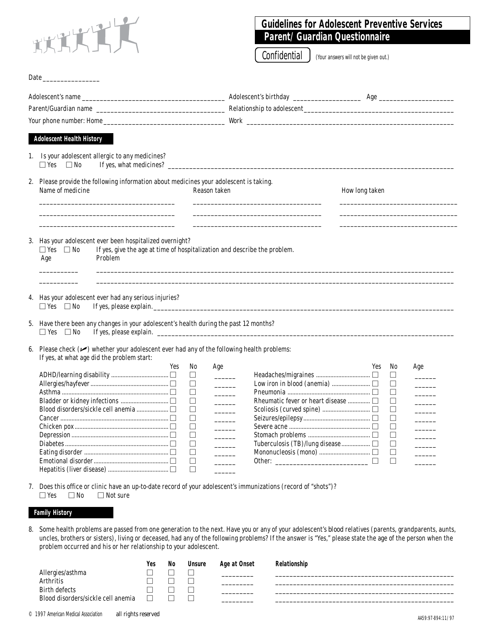

Date\_

## **Guidelines for Adolescent Preventive Services Parent/Guardian Questionnaire**

Confidential | (Your answers will not be given out.)

| <b>Adolescent Health History</b>                                                                                                                                                                                                                      |             |                          |                                     |                |             |                                                                                                                                                                                                                                                                                                                                                                                                                                                 |
|-------------------------------------------------------------------------------------------------------------------------------------------------------------------------------------------------------------------------------------------------------|-------------|--------------------------|-------------------------------------|----------------|-------------|-------------------------------------------------------------------------------------------------------------------------------------------------------------------------------------------------------------------------------------------------------------------------------------------------------------------------------------------------------------------------------------------------------------------------------------------------|
| 1. Is your adolescent allergic to any medicines?<br>$\Box$ Yes<br>$\square$ No                                                                                                                                                                        |             |                          |                                     |                |             |                                                                                                                                                                                                                                                                                                                                                                                                                                                 |
| 2. Please provide the following information about medicines your adolescent is taking.<br>Name of medicine                                                                                                                                            |             | Reason taken             |                                     | How long taken |             |                                                                                                                                                                                                                                                                                                                                                                                                                                                 |
| 3. Has your adolescent ever been hospitalized overnight?<br>If yes, give the age at time of hospitalization and describe the problem.<br>$\Box$ Yes<br>$\Box$ No<br>Problem<br>Age                                                                    |             |                          |                                     |                |             |                                                                                                                                                                                                                                                                                                                                                                                                                                                 |
|                                                                                                                                                                                                                                                       |             |                          |                                     |                |             |                                                                                                                                                                                                                                                                                                                                                                                                                                                 |
| $\Box$ Yes $\Box$ No<br>$\Box$ Yes $\Box$ No                                                                                                                                                                                                          |             |                          |                                     |                |             |                                                                                                                                                                                                                                                                                                                                                                                                                                                 |
|                                                                                                                                                                                                                                                       |             |                          |                                     |                |             |                                                                                                                                                                                                                                                                                                                                                                                                                                                 |
| If yes, at what age did the problem start:                                                                                                                                                                                                            |             |                          |                                     |                |             |                                                                                                                                                                                                                                                                                                                                                                                                                                                 |
|                                                                                                                                                                                                                                                       | Yes<br>No   | Age                      |                                     | Yes            | No          | Age                                                                                                                                                                                                                                                                                                                                                                                                                                             |
|                                                                                                                                                                                                                                                       | $\Box$      |                          |                                     |                | $\Box$      |                                                                                                                                                                                                                                                                                                                                                                                                                                                 |
|                                                                                                                                                                                                                                                       | $\Box$      |                          |                                     |                | $\Box$      |                                                                                                                                                                                                                                                                                                                                                                                                                                                 |
|                                                                                                                                                                                                                                                       | $\Box$      |                          |                                     |                | $\Box$      |                                                                                                                                                                                                                                                                                                                                                                                                                                                 |
|                                                                                                                                                                                                                                                       | □           | $\overline{\phantom{a}}$ | Rheumatic fever or heart disease  [ |                | $\Box$      | $\mathcal{L}^{\text{max}}$                                                                                                                                                                                                                                                                                                                                                                                                                      |
|                                                                                                                                                                                                                                                       | $\Box$      |                          |                                     |                | $\Box$      |                                                                                                                                                                                                                                                                                                                                                                                                                                                 |
|                                                                                                                                                                                                                                                       | □           | $\overline{\phantom{a}}$ |                                     |                | $\Box$      |                                                                                                                                                                                                                                                                                                                                                                                                                                                 |
|                                                                                                                                                                                                                                                       | $\Box$      |                          |                                     |                | □           |                                                                                                                                                                                                                                                                                                                                                                                                                                                 |
|                                                                                                                                                                                                                                                       | $\Box$      | $\overline{\phantom{a}}$ |                                     |                | $\Box$      | $\frac{1}{2} \left( \frac{1}{2} \right)^2 + \frac{1}{2} \left( \frac{1}{2} \right)^2 + \frac{1}{2} \left( \frac{1}{2} \right)^2 + \frac{1}{2} \left( \frac{1}{2} \right)^2 + \frac{1}{2} \left( \frac{1}{2} \right)^2 + \frac{1}{2} \left( \frac{1}{2} \right)^2 + \frac{1}{2} \left( \frac{1}{2} \right)^2 + \frac{1}{2} \left( \frac{1}{2} \right)^2 + \frac{1}{2} \left( \frac{1}{2} \right)^2 + \frac{1}{2} \left( \frac{1}{2} \right)^2 +$ |
|                                                                                                                                                                                                                                                       | $\Box$      | $\sim 10^{-11}$          |                                     |                | □           |                                                                                                                                                                                                                                                                                                                                                                                                                                                 |
| 4. Has your adolescent ever had any serious injuries?<br>5. Have there been any changes in your adolescent's health during the past 12 months?<br>6. Please check $(\swarrow)$ whether your adolescent ever had any of the following health problems: | $\Box$<br>□ | $\overline{\phantom{a}}$ |                                     | $\Box$         | $\Box$<br>П |                                                                                                                                                                                                                                                                                                                                                                                                                                                 |

7. Does this office or clinic have an up-to-date record of your adolescent's immunizations (record of "shots")?  $\Box$  Yes  $\Box$  No  $\Box$  Not sure

## **Family History**

8. Some health problems are passed from one generation to the next. Have you or any of your adolescent's *blood* relatives (parents, grandparents, aunts, uncles, brothers or sisters), living or deceased, had any of the following problems? If the answer is "Yes," please state the age of the person when the problem occurred and his or her relationship to your adolescent.

|                                    | Yes | No | <b>Unsure</b> | Age at Onset | Relationship |
|------------------------------------|-----|----|---------------|--------------|--------------|
| Allergies/asthma                   |     |    |               |              |              |
| <b>Arthritis</b>                   |     |    | _             |              |              |
| <b>Birth defects</b>               |     |    |               |              |              |
| Blood disorders/sickle cell anemia |     |    | _             |              |              |
|                                    |     |    |               |              |              |